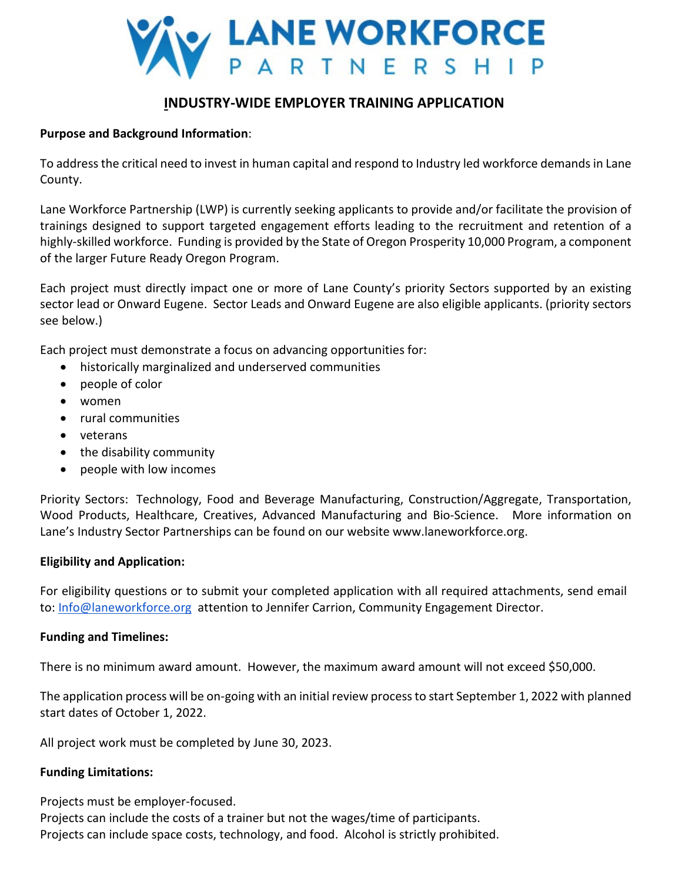

# **INDUSTRY-WIDE EMPLOYER TRAINING APPLICATION**

## **Purpose and Background Information**:

To address the critical need to invest in human capital and respond to Industry led workforce demands in Lane County.

Lane Workforce Partnership (LWP) is currently seeking applicants to provide and/or facilitate the provision of trainings designed to support targeted engagement efforts leading to the recruitment and retention of a highly-skilled workforce. Funding is provided by the State of Oregon Prosperity 10,000 Program, a component of the larger Future Ready Oregon Program.

Each project must directly impact one or more of Lane County's priority Sectors supported by an existing sector lead or Onward Eugene. Sector Leads and Onward Eugene are also eligible applicants. (priority sectors see below.)

Each project must demonstrate a focus on advancing opportunities for:

- historically marginalized and underserved communities
- people of color
- women
- rural communities
- veterans
- the disability community
- people with low incomes

Priority Sectors: Technology, Food and Beverage Manufacturing, Construction/Aggregate, Transportation, Wood Products, Healthcare, Creatives, Advanced Manufacturing and Bio-Science. More information on Lane's Industry Sector Partnerships can be found on our website www.laneworkforce.org.

## **Eligibility and Application:**

For eligibility questions or to submit your completed application with all required attachments, send email to: [Info@laneworkforce.org](mailto:Info@laneworkforce.org) attention to Jennifer Carrion, Community Engagement Director.

### **Funding and Timelines:**

There is no minimum award amount. However, the maximum award amount will not exceed \$50,000.

The application process will be on-going with an initial review process to start September 1, 2022 with planned start dates of October 1, 2022.

All project work must be completed by June 30, 2023.

## **Funding Limitations:**

Projects must be employer-focused.

Projects can include the costs of a trainer but not the wages/time of participants. Projects can include space costs, technology, and food. Alcohol is strictly prohibited.